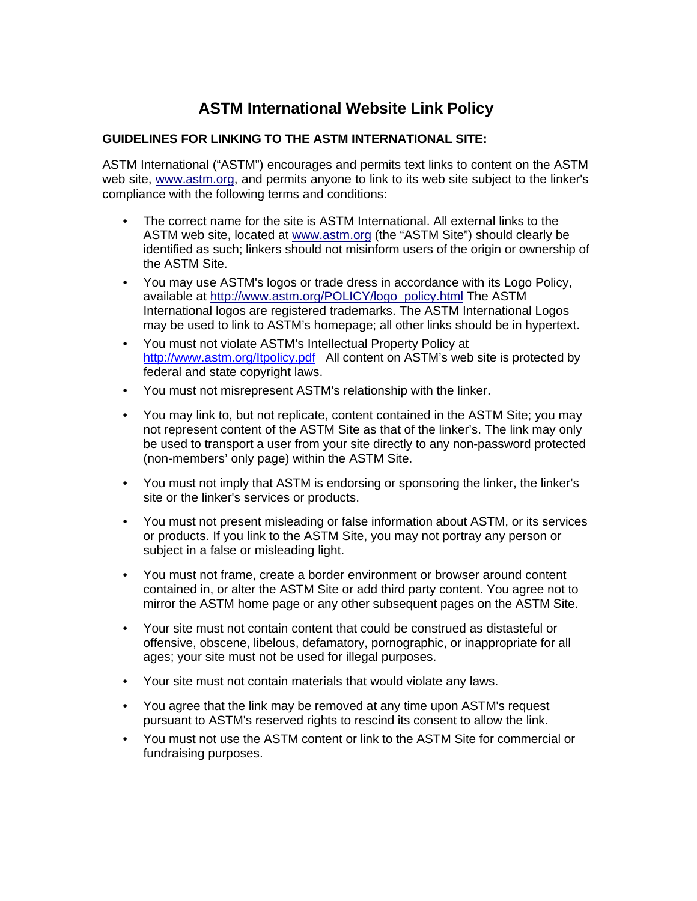# **ASTM International Website Link Policy**

## **GUIDELINES FOR LINKING TO THE ASTM INTERNATIONAL SITE:**

ASTM International ("ASTM") encourages and permits text links to content on the ASTM web site, [www.astm.org,](http://www.astm.org/) and permits anyone to link to its web site subject to the linker's compliance with the following terms and conditions:

- The correct name for the site is ASTM International. All external links to the ASTM web site, located at [www.astm.org](http://www.astm.org/) (the "ASTM Site") should clearly be identified as such; linkers should not misinform users of the origin or ownership of the ASTM Site.
- You may use ASTM's logos or trade dress in accordance with its Logo Policy, available at [http://www.astm.org/POLICY/logo\\_policy.html](http://www.astm.org/POLICY/logo_policy.html) The ASTM International logos are registered trademarks. The ASTM International Logos may be used to link to ASTM's homepage; all other links should be in hypertext.
- You must not violate ASTM's Intellectual Property Policy at <http://www.astm.org/Itpolicy.pdf> All content on ASTM's web site is protected by federal and state copyright laws.
- You must not misrepresent ASTM's relationship with the linker.
- You may link to, but not replicate, content contained in the ASTM Site; you may not represent content of the ASTM Site as that of the linker's. The link may only be used to transport a user from your site directly to any non-password protected (non-members' only page) within the ASTM Site.
- You must not imply that ASTM is endorsing or sponsoring the linker, the linker's site or the linker's services or products.
- You must not present misleading or false information about ASTM, or its services or products. If you link to the ASTM Site, you may not portray any person or subject in a false or misleading light.
- You must not frame, create a border environment or browser around content contained in, or alter the ASTM Site or add third party content. You agree not to mirror the ASTM home page or any other subsequent pages on the ASTM Site.
- Your site must not contain content that could be construed as distasteful or offensive, obscene, libelous, defamatory, pornographic, or inappropriate for all ages; your site must not be used for illegal purposes.
- Your site must not contain materials that would violate any laws.
- You agree that the link may be removed at any time upon ASTM's request pursuant to ASTM's reserved rights to rescind its consent to allow the link.
- You must not use the ASTM content or link to the ASTM Site for commercial or fundraising purposes.